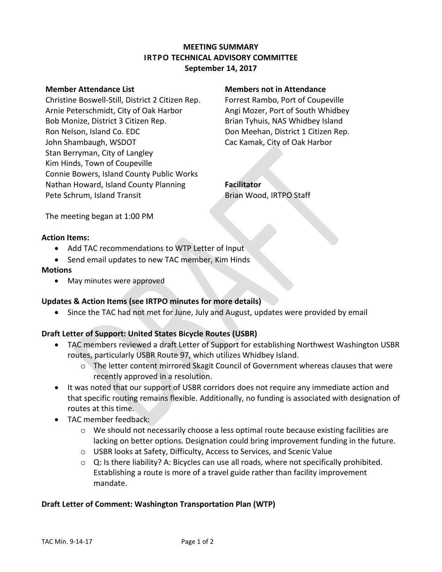# **MEETING SUMMARY IRTPO TECHNICAL ADVISORY COMMITTEE September 14, 2017**

Christine Boswell-Still, District 2 Citizen Rep. Forrest Rambo, Port of Coupeville Arnie Peterschmidt, City of Oak Harbor **Angi Mozer, Port of South Whidbey** Bob Monize, District 3 Citizen Rep. Brian Tyhuis, NAS Whidbey Island Ron Nelson, Island Co. EDC **New York Con** Don Meehan, District 1 Citizen Rep. John Shambaugh, WSDOT Cac Kamak, City of Oak Harbor Stan Berryman, City of Langley Kim Hinds, Town of Coupeville Connie Bowers, Island County Public Works Nathan Howard, Island County Planning **Facilitator** Pete Schrum, Island Transit Brian Wood, IRTPO Staff

#### **Member Attendance List Members not in Attendance**

The meeting began at 1:00 PM

# **Action Items:**

- Add TAC recommendations to WTP Letter of Input
- Send email updates to new TAC member, Kim Hinds

#### **Motions**

May minutes were approved

# **Updates & Action Items (see IRTPO minutes for more details)**

• Since the TAC had not met for June, July and August, updates were provided by email

# **Draft Letter of Support: United States Bicycle Routes (USBR)**

- TAC members reviewed a draft Letter of Support for establishing Northwest Washington USBR routes, particularly USBR Route 97, which utilizes Whidbey Island.
	- o The letter content mirrored Skagit Council of Government whereas clauses that were recently approved in a resolution.
- It was noted that our support of USBR corridors does not require any immediate action and that specific routing remains flexible. Additionally, no funding is associated with designation of routes at this time.
- TAC member feedback:
	- $\circ$  We should not necessarily choose a less optimal route because existing facilities are lacking on better options. Designation could bring improvement funding in the future.
	- o USBR looks at Safety, Difficulty, Access to Services, and Scenic Value
	- $\circ$  Q: Is there liability? A: Bicycles can use all roads, where not specifically prohibited. Establishing a route is more of a travel guide rather than facility improvement mandate.

# **Draft Letter of Comment: Washington Transportation Plan (WTP)**